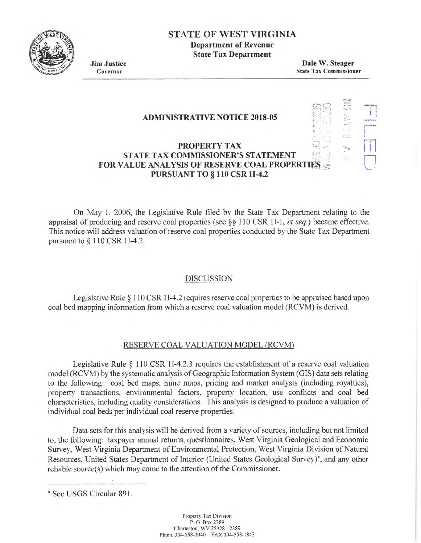

## STATE OF WEST VIRGINIA

Department of Revenue State Tax Department

Jim Justice Governor

Dale W. Steager State Tax Commissioner

> $\sim$ /":';':\_)  $\mathbb{C}^*$ ... ....  $\overline{a}$

-n

,.---- I

!Tl

11 *\..)* 

 $\Box$ 

... ... .

 $\mathcal{C}$  $\mathcal{G}_n$  , , ,

.<br>.<br>.

#### **ADMINISTRATIVE NOTICE 2018-05**

### **PROPERTY TAX** STATE TAX COMMISSIONER'S STATEMENT **FOR VALUE ANALYSIS OF RESERVE COAL PROPERTIES** PURSUANT TO § 110 CSR 11-4.2

On May 1, 2006, the Legislative Rule filed by the State Tax Department relating to the appraisal of producing and reserve coal properties (see§§ 110 CSR 11-1 , *et seq.)* became effective. This notice will address valuation of reserve coal properties conducted by the State Tax Department pursuant to§ 110 CSR 11-4.2.

#### DISCUSSION

Legislative Rule  $\S$  110 CSR 1I-4.2 requires reserve coal properties to be appraised based upon coal bed mapping information from which a reserve coal valuation model (RCVM) is derived.

#### RESERVE COAL VALUATION MODEL (RCVM)

Legislative Rule  $\S$  110 CSR 1I-4.2.3 requires the establishment of a reserve coal valuation model (RCVM) by the systematic analysis of Geographic Information System (GIS) data sets relating to the following: coal bed maps, mine maps, pricing and market analysis (including royalties), property transactions, environmental factors, property location, use conflicts and coal bed characteristics, including quality considerations. This analysis is designed to produce a valuation of individual coal beds per individual coal reserve properties.

Data sets for this analysis will be derived from a variety of sources, including but not limited to, the following: taxpayer annual returns, questionnaires, West Virginia Geological and Economic Survey, West Virginia Department of Environmental Protection, West Virginia Division of Natural Resources, United States Department of Interior (United States Geological Survey)\*, and any other reliable source(s) which may come to the attention of the Commissioner.

<sup>•</sup> See USGS Circular 891.